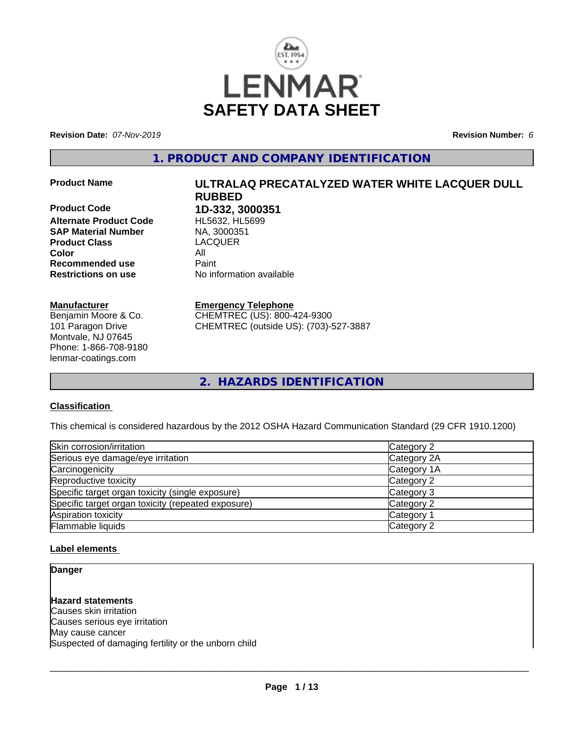

**Revision Date:** *07-Nov-2019* **Revision Number:** *6*

**1. PRODUCT AND COMPANY IDENTIFICATION**

**Product Code 1D-332, 3000351 Alternate Product Code** HL5632, HL5699<br> **SAP Material Number** NA, 3000351 **SAP Material Number Product Class** LACQUER **Color** All **Recommended use Paint Restrictions on use** No information available

#### **Manufacturer**

Benjamin Moore & Co. 101 Paragon Drive Montvale, NJ 07645 Phone: 1-866-708-9180 lenmar-coatings.com

# **Product Name ULTRALAQ PRECATALYZED WATER WHITE LACQUER DULL RUBBED**

#### **Emergency Telephone**

CHEMTREC (US): 800-424-9300 CHEMTREC (outside US): (703)-527-3887

**2. HAZARDS IDENTIFICATION**

#### **Classification**

This chemical is considered hazardous by the 2012 OSHA Hazard Communication Standard (29 CFR 1910.1200)

| Skin corrosion/irritation                          | Category 2  |  |
|----------------------------------------------------|-------------|--|
| Serious eye damage/eye irritation                  | Category 2A |  |
| Carcinogenicity                                    | Category 1A |  |
| Reproductive toxicity                              | Category 2  |  |
| Specific target organ toxicity (single exposure)   | Category 3  |  |
| Specific target organ toxicity (repeated exposure) | Category 2  |  |
| Aspiration toxicity                                | Category 1  |  |
| Flammable liquids                                  | Category 2  |  |

#### **Label elements**

**Danger**

**Hazard statements** Causes skin irritation Causes serious eye irritation May cause cancer Suspected of damaging fertility or the unborn child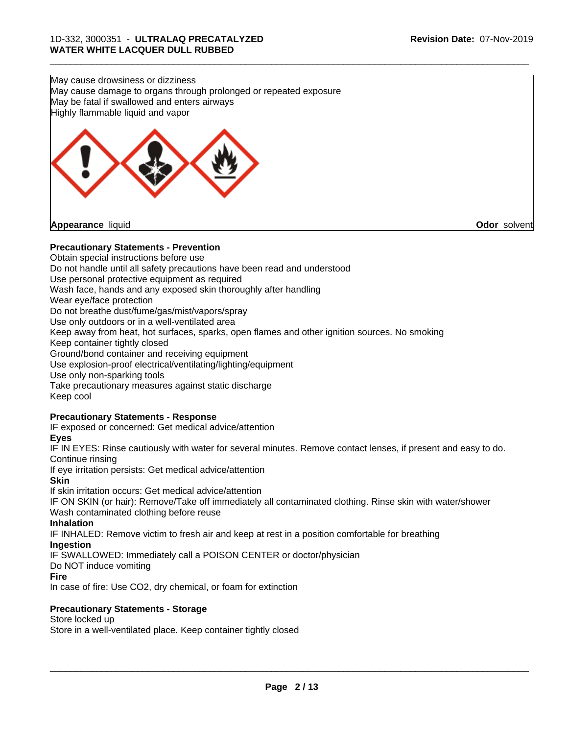May cause drowsiness or dizziness May cause damage to organs through prolonged or repeated exposure May be fatal if swallowed and enters airways Highly flammable liquid and vapor



#### **Precautionary Statements - Prevention**

Obtain special instructions before use Do not handle until all safety precautions have been read and understood Use personal protective equipment as required Wash face, hands and any exposed skin thoroughly after handling Wear eye/face protection Do not breathe dust/fume/gas/mist/vapors/spray Use only outdoors or in a well-ventilated area Keep away from heat, hot surfaces, sparks, open flames and other ignition sources. No smoking Keep container tightly closed Ground/bond container and receiving equipment Use explosion-proof electrical/ventilating/lighting/equipment Use only non-sparking tools Take precautionary measures against static discharge Keep cool **Precautionary Statements - Response** IF exposed or concerned: Get medical advice/attention **Eyes** IF IN EYES: Rinse cautiously with water for several minutes. Remove contact lenses, if present and easy to do. Continue rinsing If eye irritation persists: Get medical advice/attention **Skin**

If skin irritation occurs: Get medical advice/attention

IF ON SKIN (or hair): Remove/Take off immediately all contaminated clothing. Rinse skin with water/shower Wash contaminated clothing before reuse

#### **Inhalation**

IF INHALED: Remove victim to fresh air and keep atrest in a position comfortable for breathing

#### **Ingestion**

IF SWALLOWED: Immediately call a POISON CENTER or doctor/physician

Do NOT induce vomiting

```
Fire
```
In case of fire: Use CO2, dry chemical, or foam for extinction

#### **Precautionary Statements - Storage**

Store locked up

Store in a well-ventilated place. Keep container tightly closed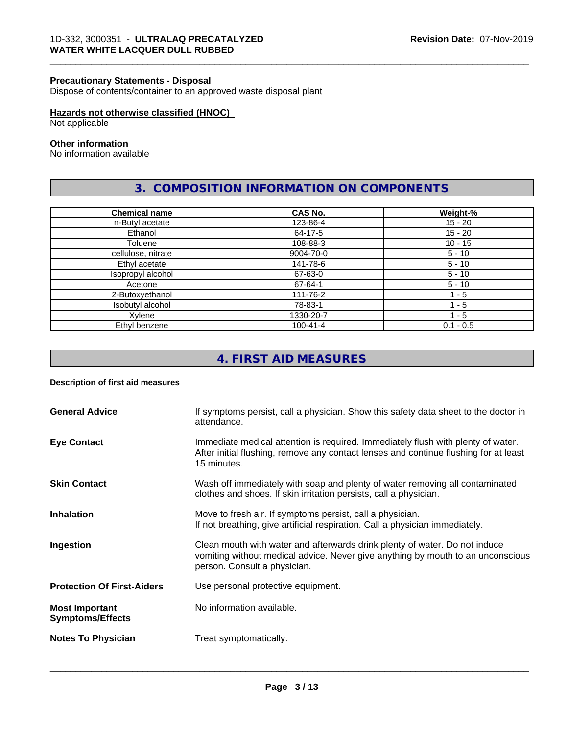#### **Precautionary Statements - Disposal**

Dispose of contents/container to an approved waste disposal plant

#### **Hazards not otherwise classified (HNOC)**

Not applicable

### **Other information**

No information available

# **3. COMPOSITION INFORMATION ON COMPONENTS**

\_\_\_\_\_\_\_\_\_\_\_\_\_\_\_\_\_\_\_\_\_\_\_\_\_\_\_\_\_\_\_\_\_\_\_\_\_\_\_\_\_\_\_\_\_\_\_\_\_\_\_\_\_\_\_\_\_\_\_\_\_\_\_\_\_\_\_\_\_\_\_\_\_\_\_\_\_\_\_\_\_\_\_\_\_\_\_\_\_\_\_\_\_

| <b>Chemical name</b> | <b>CAS No.</b> | Weight-%    |
|----------------------|----------------|-------------|
| n-Butyl acetate      | 123-86-4       | 15 - 20     |
| Ethanol              | 64-17-5        | $15 - 20$   |
| Toluene              | 108-88-3       | $10 - 15$   |
| cellulose, nitrate   | 9004-70-0      | $5 - 10$    |
| Ethyl acetate        | 141-78-6       | $5 - 10$    |
| Isopropyl alcohol    | 67-63-0        | $5 - 10$    |
| Acetone              | 67-64-1        | $5 - 10$    |
| 2-Butoxyethanol      | 111-76-2       | 1 - 5       |
| Isobutyl alcohol     | 78-83-1        | 1 - 5       |
| Xylene               | 1330-20-7      | 1 - 5       |
| Ethyl benzene        | $100 - 41 - 4$ | $0.1 - 0.5$ |

# **4. FIRST AID MEASURES**

#### **Description of first aid measures**

| <b>General Advice</b>                            | If symptoms persist, call a physician. Show this safety data sheet to the doctor in<br>attendance.                                                                                            |
|--------------------------------------------------|-----------------------------------------------------------------------------------------------------------------------------------------------------------------------------------------------|
| <b>Eye Contact</b>                               | Immediate medical attention is required. Immediately flush with plenty of water.<br>After initial flushing, remove any contact lenses and continue flushing for at least<br>15 minutes.       |
| <b>Skin Contact</b>                              | Wash off immediately with soap and plenty of water removing all contaminated<br>clothes and shoes. If skin irritation persists, call a physician.                                             |
| <b>Inhalation</b>                                | Move to fresh air. If symptoms persist, call a physician.<br>If not breathing, give artificial respiration. Call a physician immediately.                                                     |
| Ingestion                                        | Clean mouth with water and afterwards drink plenty of water. Do not induce<br>vomiting without medical advice. Never give anything by mouth to an unconscious<br>person. Consult a physician. |
| <b>Protection Of First-Aiders</b>                | Use personal protective equipment.                                                                                                                                                            |
| <b>Most Important</b><br><b>Symptoms/Effects</b> | No information available.                                                                                                                                                                     |
| <b>Notes To Physician</b>                        | Treat symptomatically.                                                                                                                                                                        |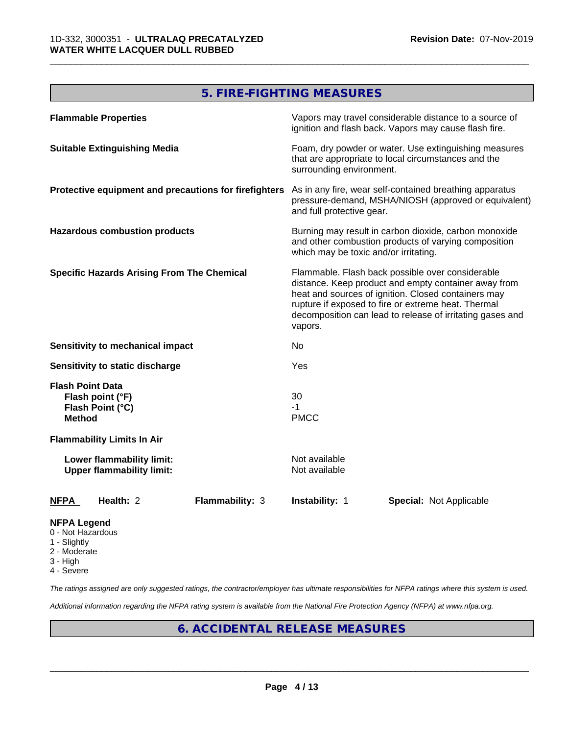# **5. FIRE-FIGHTING MEASURES**

\_\_\_\_\_\_\_\_\_\_\_\_\_\_\_\_\_\_\_\_\_\_\_\_\_\_\_\_\_\_\_\_\_\_\_\_\_\_\_\_\_\_\_\_\_\_\_\_\_\_\_\_\_\_\_\_\_\_\_\_\_\_\_\_\_\_\_\_\_\_\_\_\_\_\_\_\_\_\_\_\_\_\_\_\_\_\_\_\_\_\_\_\_

| <b>Flammable Properties</b>                                                      | Vapors may travel considerable distance to a source of<br>ignition and flash back. Vapors may cause flash fire.                                                                                                                                                                                |
|----------------------------------------------------------------------------------|------------------------------------------------------------------------------------------------------------------------------------------------------------------------------------------------------------------------------------------------------------------------------------------------|
| <b>Suitable Extinguishing Media</b>                                              | Foam, dry powder or water. Use extinguishing measures<br>that are appropriate to local circumstances and the<br>surrounding environment.                                                                                                                                                       |
| Protective equipment and precautions for firefighters                            | As in any fire, wear self-contained breathing apparatus<br>pressure-demand, MSHA/NIOSH (approved or equivalent)<br>and full protective gear.                                                                                                                                                   |
| <b>Hazardous combustion products</b>                                             | Burning may result in carbon dioxide, carbon monoxide<br>and other combustion products of varying composition<br>which may be toxic and/or irritating.                                                                                                                                         |
| <b>Specific Hazards Arising From The Chemical</b>                                | Flammable. Flash back possible over considerable<br>distance. Keep product and empty container away from<br>heat and sources of ignition. Closed containers may<br>rupture if exposed to fire or extreme heat. Thermal<br>decomposition can lead to release of irritating gases and<br>vapors. |
| Sensitivity to mechanical impact                                                 | No                                                                                                                                                                                                                                                                                             |
| Sensitivity to static discharge                                                  | Yes                                                                                                                                                                                                                                                                                            |
| <b>Flash Point Data</b><br>Flash point (°F)<br>Flash Point (°C)<br><b>Method</b> | 30<br>$-1$<br><b>PMCC</b>                                                                                                                                                                                                                                                                      |
| <b>Flammability Limits In Air</b>                                                |                                                                                                                                                                                                                                                                                                |
| Lower flammability limit:<br><b>Upper flammability limit:</b>                    | Not available<br>Not available                                                                                                                                                                                                                                                                 |
| <b>NFPA</b><br>Health: 2<br><b>Flammability: 3</b>                               | Instability: 1<br><b>Special: Not Applicable</b>                                                                                                                                                                                                                                               |
| <b>NFPA Legend</b>                                                               |                                                                                                                                                                                                                                                                                                |

- 0 Not Hazardous
- 1 Slightly
- 2 Moderate
- 3 High
- 4 Severe

*The ratings assigned are only suggested ratings, the contractor/employer has ultimate responsibilities for NFPA ratings where this system is used.*

*Additional information regarding the NFPA rating system is available from the National Fire Protection Agency (NFPA) at www.nfpa.org.*

# **6. ACCIDENTAL RELEASE MEASURES**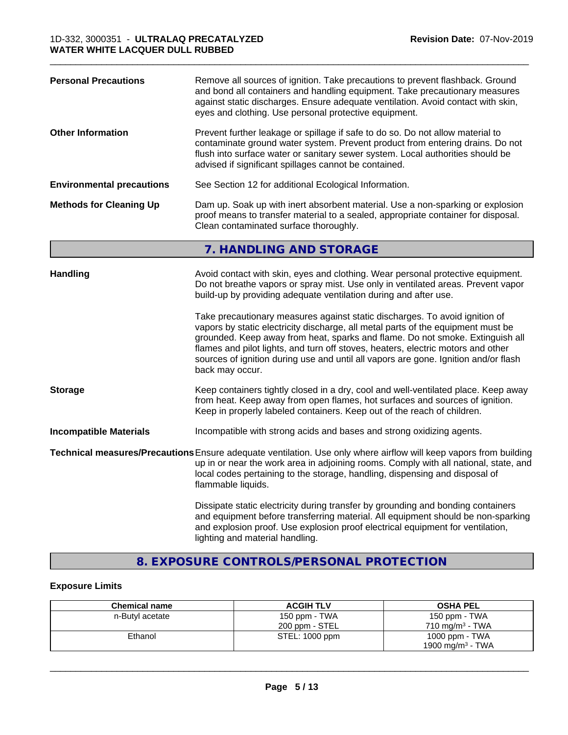| <b>Personal Precautions</b>      | Remove all sources of ignition. Take precautions to prevent flashback. Ground<br>and bond all containers and handling equipment. Take precautionary measures<br>against static discharges. Ensure adequate ventilation. Avoid contact with skin,<br>eyes and clothing. Use personal protective equipment.                                                                                                                                                                                                                                                                                                                                                                                 |
|----------------------------------|-------------------------------------------------------------------------------------------------------------------------------------------------------------------------------------------------------------------------------------------------------------------------------------------------------------------------------------------------------------------------------------------------------------------------------------------------------------------------------------------------------------------------------------------------------------------------------------------------------------------------------------------------------------------------------------------|
| <b>Other Information</b>         | Prevent further leakage or spillage if safe to do so. Do not allow material to<br>contaminate ground water system. Prevent product from entering drains. Do not<br>flush into surface water or sanitary sewer system. Local authorities should be<br>advised if significant spillages cannot be contained.                                                                                                                                                                                                                                                                                                                                                                                |
| <b>Environmental precautions</b> | See Section 12 for additional Ecological Information.                                                                                                                                                                                                                                                                                                                                                                                                                                                                                                                                                                                                                                     |
| <b>Methods for Cleaning Up</b>   | Dam up. Soak up with inert absorbent material. Use a non-sparking or explosion<br>proof means to transfer material to a sealed, appropriate container for disposal.<br>Clean contaminated surface thoroughly.                                                                                                                                                                                                                                                                                                                                                                                                                                                                             |
|                                  | 7. HANDLING AND STORAGE                                                                                                                                                                                                                                                                                                                                                                                                                                                                                                                                                                                                                                                                   |
| <b>Handling</b>                  | Avoid contact with skin, eyes and clothing. Wear personal protective equipment.<br>Do not breathe vapors or spray mist. Use only in ventilated areas. Prevent vapor<br>build-up by providing adequate ventilation during and after use.<br>Take precautionary measures against static discharges. To avoid ignition of<br>vapors by static electricity discharge, all metal parts of the equipment must be<br>grounded. Keep away from heat, sparks and flame. Do not smoke. Extinguish all<br>flames and pilot lights, and turn off stoves, heaters, electric motors and other<br>sources of ignition during use and until all vapors are gone. Ignition and/or flash<br>back may occur. |
| <b>Storage</b>                   | Keep containers tightly closed in a dry, cool and well-ventilated place. Keep away<br>from heat. Keep away from open flames, hot surfaces and sources of ignition.<br>Keep in properly labeled containers. Keep out of the reach of children.                                                                                                                                                                                                                                                                                                                                                                                                                                             |
| <b>Incompatible Materials</b>    | Incompatible with strong acids and bases and strong oxidizing agents.                                                                                                                                                                                                                                                                                                                                                                                                                                                                                                                                                                                                                     |
|                                  | Technical measures/Precautions Ensure adequate ventilation. Use only where airflow will keep vapors from building<br>up in or near the work area in adjoining rooms. Comply with all national, state, and<br>local codes pertaining to the storage, handling, dispensing and disposal of<br>flammable liquids.                                                                                                                                                                                                                                                                                                                                                                            |
|                                  | Dissipate static electricity during transfer by grounding and bonding containers<br>and equipment before transferring material. All equipment should be non-sparking<br>and explosion proof. Use explosion proof electrical equipment for ventilation,                                                                                                                                                                                                                                                                                                                                                                                                                                    |

# **8. EXPOSURE CONTROLS/PERSONAL PROTECTION**

lighting and material handling.

### **Exposure Limits**

| <b>Chemical name</b> | <b>ACGIH TLV</b> | <b>OSHA PEL</b>              |
|----------------------|------------------|------------------------------|
| n-Butyl acetate      | 150 ppm - TWA    | 150 ppm - TWA                |
|                      | 200 ppm - STEL   | $710 \text{ ma/m}^3$ - TWA   |
| Ethanol              | STEL: 1000 ppm   | 1000 ppm - TWA               |
|                      |                  | 1900 mg/m <sup>3</sup> - TWA |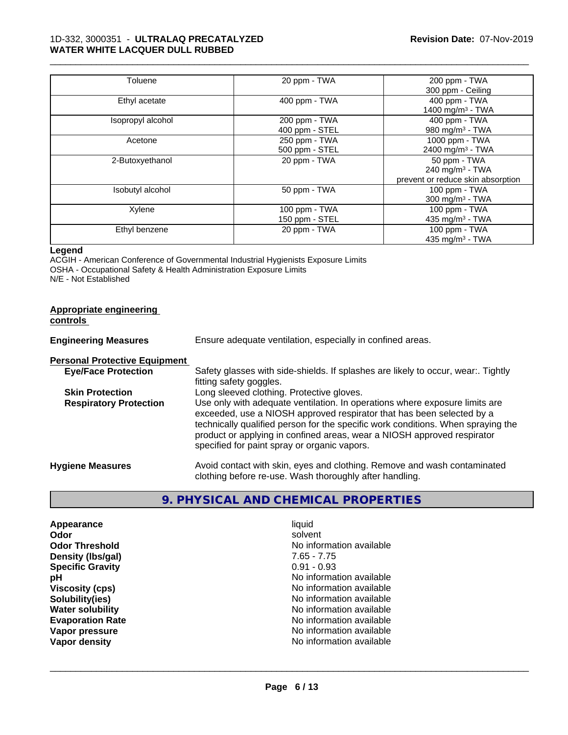| Toluene           | 20 ppm - TWA   | 200 ppm - TWA                     |
|-------------------|----------------|-----------------------------------|
|                   |                | 300 ppm - Ceiling                 |
| Ethyl acetate     | 400 ppm - TWA  | 400 ppm - TWA                     |
|                   |                | 1400 mg/m <sup>3</sup> - TWA      |
| Isopropyl alcohol | 200 ppm - TWA  | 400 ppm - TWA                     |
|                   | 400 ppm - STEL | 980 mg/m <sup>3</sup> - TWA       |
| Acetone           | 250 ppm - TWA  | 1000 ppm - TWA                    |
|                   | 500 ppm - STEL | 2400 mg/m <sup>3</sup> - TWA      |
| 2-Butoxyethanol   | 20 ppm - TWA   | 50 ppm - TWA                      |
|                   |                | 240 mg/m $3$ - TWA                |
|                   |                | prevent or reduce skin absorption |
| Isobutyl alcohol  | 50 ppm - TWA   | $100$ ppm $-$ TWA                 |
|                   |                | $300$ mg/m <sup>3</sup> - TWA     |
| Xylene            | 100 ppm - TWA  | 100 ppm - TWA                     |
|                   | 150 ppm - STEL | 435 mg/m $3$ - TWA                |
| Ethyl benzene     | 20 ppm - TWA   | 100 ppm - TWA                     |
|                   |                | 435 mg/m $3$ - TWA                |

#### **Legend**

ACGIH - American Conference of Governmental Industrial Hygienists Exposure Limits OSHA - Occupational Safety & Health Administration Exposure Limits N/E - Not Established

| Appropriate engineering<br>controls  |                                                                                                                                                                                                                                                                                                                                                                     |
|--------------------------------------|---------------------------------------------------------------------------------------------------------------------------------------------------------------------------------------------------------------------------------------------------------------------------------------------------------------------------------------------------------------------|
| <b>Engineering Measures</b>          | Ensure adequate ventilation, especially in confined areas.                                                                                                                                                                                                                                                                                                          |
| <b>Personal Protective Equipment</b> |                                                                                                                                                                                                                                                                                                                                                                     |
| <b>Eye/Face Protection</b>           | Safety glasses with side-shields. If splashes are likely to occur, wear Tightly<br>fitting safety goggles.                                                                                                                                                                                                                                                          |
| <b>Skin Protection</b>               | Long sleeved clothing. Protective gloves.                                                                                                                                                                                                                                                                                                                           |
| <b>Respiratory Protection</b>        | Use only with adequate ventilation. In operations where exposure limits are<br>exceeded, use a NIOSH approved respirator that has been selected by a<br>technically qualified person for the specific work conditions. When spraying the<br>product or applying in confined areas, wear a NIOSH approved respirator<br>specified for paint spray or organic vapors. |
| <b>Hygiene Measures</b>              | Avoid contact with skin, eyes and clothing. Remove and wash contaminated<br>clothing before re-use. Wash thoroughly after handling.                                                                                                                                                                                                                                 |

# **9. PHYSICAL AND CHEMICAL PROPERTIES**

| Appearance              |
|-------------------------|
| Odor                    |
| <b>Odor Threshold</b>   |
| Density (Ibs/gal)       |
| <b>Specific Gravity</b> |
| рH                      |
| <b>Viscosity (cps)</b>  |
| Solubility(ies)         |
| <b>Water solubility</b> |
| <b>Evaporation Rate</b> |
| Vapor pressure          |
| <b>Vapor density</b>    |

**Appearance** and the contract of the contract of the contract of the contract of the contract of the contract of the contract of the contract of the contract of the contract of the contract of the contract of the contract **Odor** solvent **No information available Density (lbs/gal)** 7.65 - 7.75 **Specific Gravity** 0.91 - 0.93 **No information available Viscosity (cps)** No information available **No information available No information available Evaporation Rate** No information available **No information available No information available**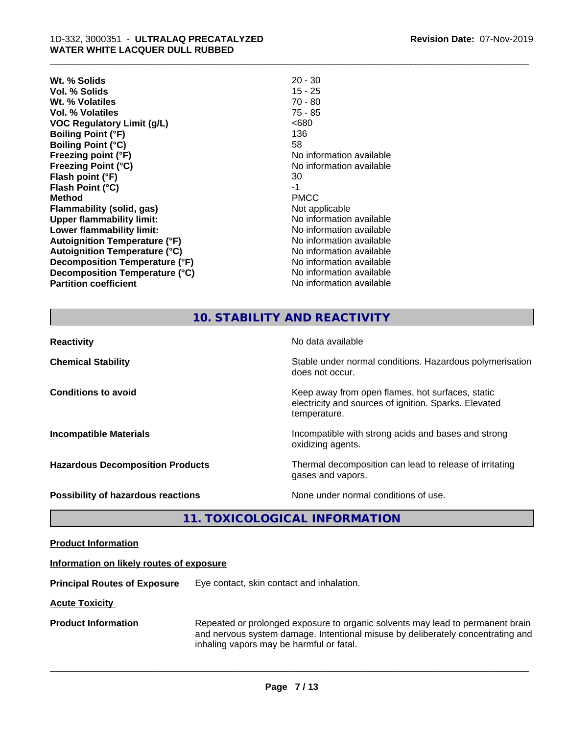| $20 - 30$                |
|--------------------------|
| $15 - 25$                |
| $70 - 80$                |
| $75 - 85$                |
| <680                     |
| 136                      |
| 58                       |
| No information available |
| No information available |
| 30                       |
| -1                       |
| <b>PMCC</b>              |
| Not applicable           |
| No information available |
| No information available |
| No information available |
| No information available |
| No information available |
| No information available |
| No information available |
|                          |

| ∠ ∪ −                    |
|--------------------------|
| 15 - 25                  |
| 70 - 80                  |
| 75 - 85                  |
| <680                     |
| 136                      |
| 58                       |
| No information available |
| No information available |
| 30                       |
| -1                       |
| PMCC                     |
| Not applicable           |
| No information available |
| No information available |
| No information available |
| No information available |
| No information available |
| No information available |
| No information available |
|                          |

# **10. STABILITY AND REACTIVITY**

| <b>Reactivity</b>                       | No data available                                                                                                         |
|-----------------------------------------|---------------------------------------------------------------------------------------------------------------------------|
| <b>Chemical Stability</b>               | Stable under normal conditions. Hazardous polymerisation<br>does not occur.                                               |
| <b>Conditions to avoid</b>              | Keep away from open flames, hot surfaces, static<br>electricity and sources of ignition. Sparks. Elevated<br>temperature. |
| <b>Incompatible Materials</b>           | Incompatible with strong acids and bases and strong<br>oxidizing agents.                                                  |
| <b>Hazardous Decomposition Products</b> | Thermal decomposition can lead to release of irritating<br>gases and vapors.                                              |
| Possibility of hazardous reactions      | None under normal conditions of use.                                                                                      |

# **11. TOXICOLOGICAL INFORMATION**

| <b>Product Information</b> |  |
|----------------------------|--|
|                            |  |

#### **Information on likely routes of exposure**

**Principal Routes of Exposure** Eye contact, skin contact and inhalation.

**Acute Toxicity** 

**Product Information** Repeated or prolonged exposure to organic solvents may lead to permanent brain and nervous system damage. Intentional misuse by deliberately concentrating and inhaling vapors may be harmful or fatal.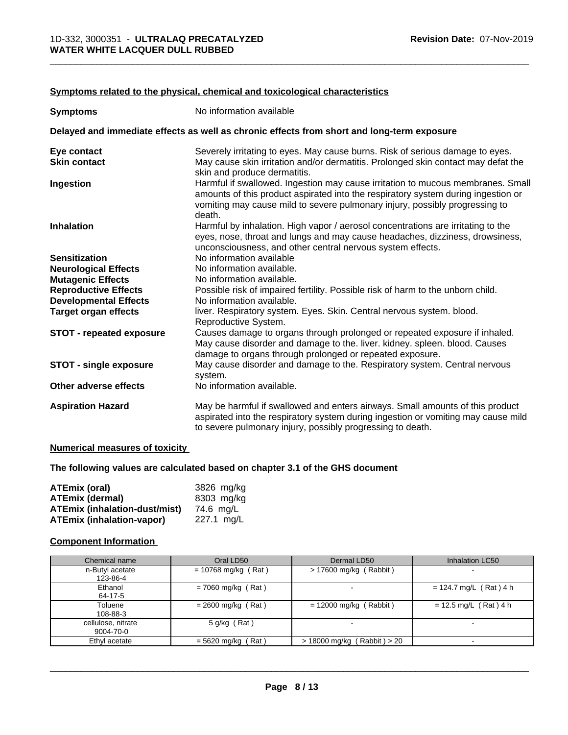| <b>Symptoms</b>                 | No information available                                                                                                                                                                                                                                      |
|---------------------------------|---------------------------------------------------------------------------------------------------------------------------------------------------------------------------------------------------------------------------------------------------------------|
|                                 | Delayed and immediate effects as well as chronic effects from short and long-term exposure                                                                                                                                                                    |
| Eye contact                     | Severely irritating to eyes. May cause burns. Risk of serious damage to eyes.                                                                                                                                                                                 |
| <b>Skin contact</b>             | May cause skin irritation and/or dermatitis. Prolonged skin contact may defat the<br>skin and produce dermatitis.                                                                                                                                             |
| Ingestion                       | Harmful if swallowed. Ingestion may cause irritation to mucous membranes. Small<br>amounts of this product aspirated into the respiratory system during ingestion or<br>vomiting may cause mild to severe pulmonary injury, possibly progressing to<br>death. |
| <b>Inhalation</b>               | Harmful by inhalation. High vapor / aerosol concentrations are irritating to the<br>eyes, nose, throat and lungs and may cause headaches, dizziness, drowsiness,<br>unconsciousness, and other central nervous system effects.                                |
| <b>Sensitization</b>            | No information available                                                                                                                                                                                                                                      |
| <b>Neurological Effects</b>     | No information available.                                                                                                                                                                                                                                     |
| <b>Mutagenic Effects</b>        | No information available.                                                                                                                                                                                                                                     |
| <b>Reproductive Effects</b>     | Possible risk of impaired fertility. Possible risk of harm to the unborn child.                                                                                                                                                                               |
| <b>Developmental Effects</b>    | No information available.                                                                                                                                                                                                                                     |
| <b>Target organ effects</b>     | liver. Respiratory system. Eyes. Skin. Central nervous system. blood.<br>Reproductive System.                                                                                                                                                                 |
| <b>STOT - repeated exposure</b> | Causes damage to organs through prolonged or repeated exposure if inhaled.<br>May cause disorder and damage to the. liver. kidney. spleen. blood. Causes<br>damage to organs through prolonged or repeated exposure.                                          |
| <b>STOT - single exposure</b>   | May cause disorder and damage to the. Respiratory system. Central nervous<br>system.                                                                                                                                                                          |
| Other adverse effects           | No information available.                                                                                                                                                                                                                                     |
| <b>Aspiration Hazard</b>        | May be harmful if swallowed and enters airways. Small amounts of this product<br>aspirated into the respiratory system during ingestion or vomiting may cause mild<br>to severe pulmonary injury, possibly progressing to death.                              |

#### **Symptoms related to the physical,chemical and toxicological characteristics**

#### **Numerical measures of toxicity**

#### **The following values are calculated based on chapter 3.1 of the GHS document**

| <b>ATEmix (oral)</b>                 | 3826 mg/kg |
|--------------------------------------|------------|
| <b>ATEmix (dermal)</b>               | 8303 mg/kg |
| <b>ATEmix (inhalation-dust/mist)</b> | 74.6 ma/L  |
| <b>ATEmix (inhalation-vapor)</b>     | 227.1 mg/L |

#### **Component Information**

| Chemical name                   | Oral LD50             | Dermal LD50                     | Inhalation LC50          |
|---------------------------------|-----------------------|---------------------------------|--------------------------|
| n-Butyl acetate<br>123-86-4     | $= 10768$ mg/kg (Rat) | $> 17600$ mg/kg (Rabbit)        | $\overline{\phantom{a}}$ |
| Ethanol<br>64-17-5              | $= 7060$ mg/kg (Rat)  |                                 | $= 124.7$ mg/L (Rat) 4 h |
| Toluene<br>108-88-3             | $= 2600$ mg/kg (Rat)  | $= 12000$ mg/kg (Rabbit)        | $= 12.5$ mg/L (Rat) 4 h  |
| cellulose, nitrate<br>9004-70-0 | $5$ g/kg (Rat)        |                                 |                          |
| Ethyl acetate                   | $= 5620$ mg/kg (Rat)  | $> 18000$ mg/kg (Rabbit) $> 20$ |                          |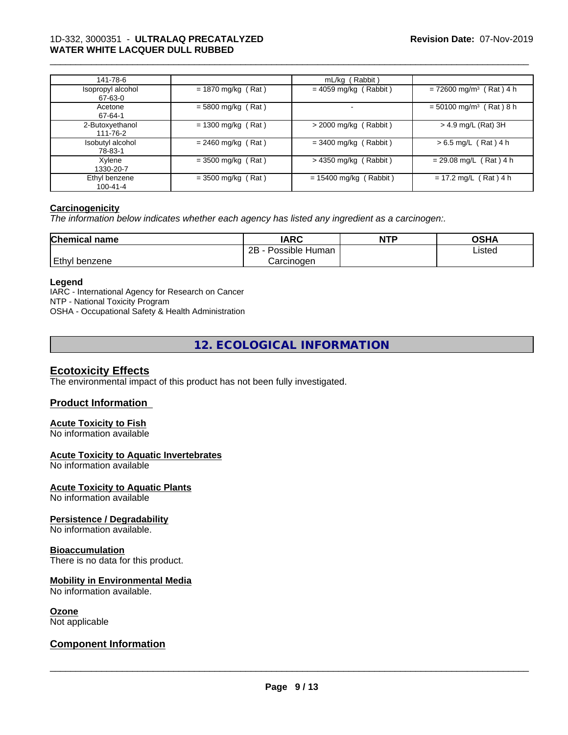| 141-78-6                     |                      | mL/kg (Rabbit)               |                                       |
|------------------------------|----------------------|------------------------------|---------------------------------------|
| Isopropyl alcohol<br>67-63-0 | $= 1870$ mg/kg (Rat) | $= 4059$ mg/kg (Rabbit)      | $= 72600$ mg/m <sup>3</sup> (Rat) 4 h |
| Acetone<br>67-64-1           | $= 5800$ mg/kg (Rat) |                              | $= 50100$ mg/m <sup>3</sup> (Rat) 8 h |
| 2-Butoxyethanol<br>111-76-2  | $= 1300$ mg/kg (Rat) | $\sqrt{2000}$ mg/kg (Rabbit) | > 4.9 mg/L (Rat) 3H                   |
| Isobutyl alcohol<br>78-83-1  | $= 2460$ mg/kg (Rat) | $=$ 3400 mg/kg (Rabbit)      | $> 6.5$ mg/L (Rat) 4 h                |
| Xylene<br>1330-20-7          | $=$ 3500 mg/kg (Rat) | $>$ 4350 mg/kg (Rabbit)      | $= 29.08$ mg/L (Rat) 4 h              |
| Ethyl benzene<br>100-41-4    | $=$ 3500 mg/kg (Rat) | $= 15400$ mg/kg (Rabbit)     | $= 17.2$ mg/L (Rat) 4 h               |

#### **Carcinogenicity**

*The information below indicateswhether each agency has listed any ingredient as a carcinogen:.*

| <b>Chemical name</b> | <b>IARC</b>               | <b>NTP</b> | <b>OSHA</b> |
|----------------------|---------------------------|------------|-------------|
|                      | .<br>2B<br>Possible Human |            | Listed      |
| Ethyl<br>benzene     | Carcinogen                |            |             |

#### **Legend**

IARC - International Agency for Research on Cancer NTP - National Toxicity Program OSHA - Occupational Safety & Health Administration

**12. ECOLOGICAL INFORMATION**

#### **Ecotoxicity Effects**

The environmental impact of this product has not been fully investigated.

#### **Product Information**

#### **Acute Toxicity to Fish**

No information available

#### **Acute Toxicity to Aquatic Invertebrates**

No information available

#### **Acute Toxicity to Aquatic Plants**

No information available

#### **Persistence / Degradability**

No information available.

#### **Bioaccumulation**

There is no data for this product.

#### **Mobility in Environmental Media**

No information available.

#### **Ozone**

Not applicable

#### **Component Information**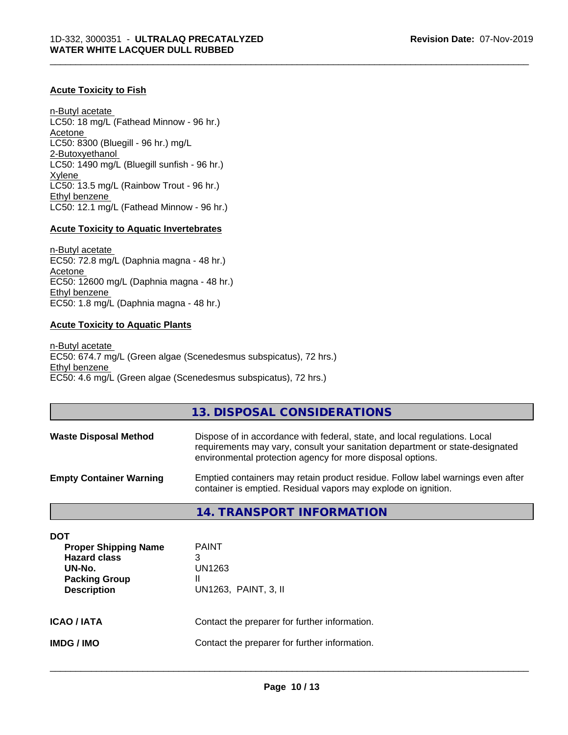#### **Acute Toxicity to Fish**

n-Butyl acetate LC50: 18 mg/L (Fathead Minnow - 96 hr.) Acetone LC50: 8300 (Bluegill - 96 hr.) mg/L 2-Butoxyethanol LC50: 1490 mg/L (Bluegill sunfish - 96 hr.) Xylene LC50: 13.5 mg/L (Rainbow Trout - 96 hr.) Ethyl benzene LC50: 12.1 mg/L (Fathead Minnow - 96 hr.)

#### **Acute Toxicity to Aquatic Invertebrates**

n-Butyl acetate EC50: 72.8 mg/L (Daphnia magna - 48 hr.) Acetone EC50: 12600 mg/L (Daphnia magna - 48 hr.) Ethyl benzene EC50: 1.8 mg/L (Daphnia magna - 48 hr.)

#### **Acute Toxicity to Aquatic Plants**

n-Butyl acetate EC50: 674.7 mg/L (Green algae (Scenedesmus subspicatus), 72 hrs.) Ethyl benzene EC50: 4.6 mg/L (Green algae (Scenedesmus subspicatus), 72 hrs.)

#### **13. DISPOSAL CONSIDERATIONS**

\_\_\_\_\_\_\_\_\_\_\_\_\_\_\_\_\_\_\_\_\_\_\_\_\_\_\_\_\_\_\_\_\_\_\_\_\_\_\_\_\_\_\_\_\_\_\_\_\_\_\_\_\_\_\_\_\_\_\_\_\_\_\_\_\_\_\_\_\_\_\_\_\_\_\_\_\_\_\_\_\_\_\_\_\_\_\_\_\_\_\_\_\_

| <b>Waste Disposal Method</b>   | Dispose of in accordance with federal, state, and local regulations. Local<br>requirements may vary, consult your sanitation department or state-designated<br>environmental protection agency for more disposal options. |
|--------------------------------|---------------------------------------------------------------------------------------------------------------------------------------------------------------------------------------------------------------------------|
| <b>Empty Container Warning</b> | Emptied containers may retain product residue. Follow label warnings even after<br>container is emptied. Residual vapors may explode on ignition.                                                                         |

#### **14. TRANSPORT INFORMATION**

| DOT<br><b>Proper Shipping Name</b><br><b>Hazard class</b><br>UN-No.<br><b>Packing Group</b><br><b>Description</b> | <b>PAINT</b><br>3<br>UN1263<br>Ш<br>UN1263, PAINT, 3, II |
|-------------------------------------------------------------------------------------------------------------------|----------------------------------------------------------|
| <b>ICAO/IATA</b>                                                                                                  | Contact the preparer for further information.            |
| <b>IMDG/IMO</b>                                                                                                   | Contact the preparer for further information.            |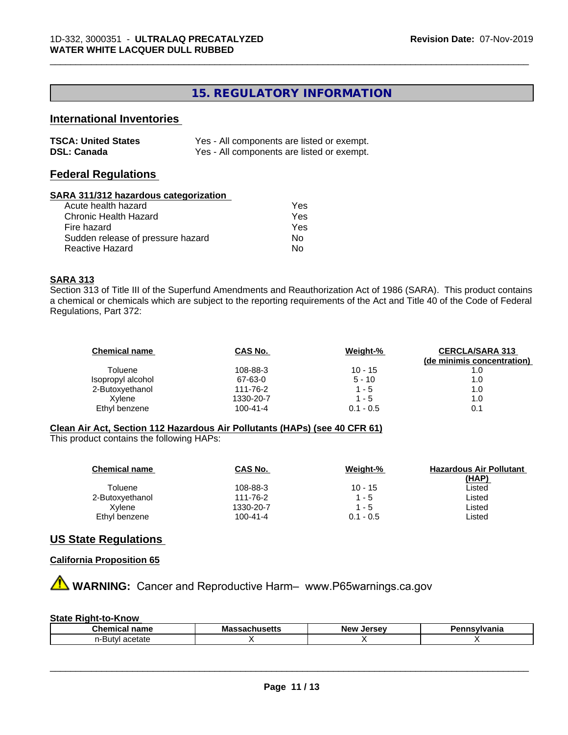### **15. REGULATORY INFORMATION**

\_\_\_\_\_\_\_\_\_\_\_\_\_\_\_\_\_\_\_\_\_\_\_\_\_\_\_\_\_\_\_\_\_\_\_\_\_\_\_\_\_\_\_\_\_\_\_\_\_\_\_\_\_\_\_\_\_\_\_\_\_\_\_\_\_\_\_\_\_\_\_\_\_\_\_\_\_\_\_\_\_\_\_\_\_\_\_\_\_\_\_\_\_

### **International Inventories**

| <b>TSCA: United States</b> | Yes - All components are listed or exempt. |
|----------------------------|--------------------------------------------|
| <b>DSL: Canada</b>         | Yes - All components are listed or exempt. |

#### **Federal Regulations**

#### **SARA 311/312 hazardous categorization**

| Acute health hazard               | Yes |
|-----------------------------------|-----|
| Chronic Health Hazard             | Yes |
| Fire hazard                       | Yes |
| Sudden release of pressure hazard | Nο  |
| Reactive Hazard                   | N٥  |

#### **SARA 313**

Section 313 of Title III of the Superfund Amendments and Reauthorization Act of 1986 (SARA). This product contains a chemical or chemicals which are subject to the reporting requirements of the Act and Title 40 of the Code of Federal Regulations, Part 372:

| <b>Chemical name</b> | CAS No.        | Weight-%    | <b>CERCLA/SARA 313</b>     |
|----------------------|----------------|-------------|----------------------------|
|                      |                |             | (de minimis concentration) |
| Toluene              | 108-88-3       | $10 - 15$   |                            |
| Isopropyl alcohol    | 67-63-0        | $5 - 10$    | 1.0                        |
| 2-Butoxyethanol      | 111-76-2       | $1 - 5$     | 1.0                        |
| Xvlene               | 1330-20-7      | $1 - 5$     | 1.0                        |
| Ethyl benzene        | $100 - 41 - 4$ | $0.1 - 0.5$ | 0.1                        |

#### **Clean Air Act,Section 112 Hazardous Air Pollutants (HAPs) (see 40 CFR 61)**

This product contains the following HAPs:

| <b>Chemical name</b> | CAS No.        | Weight-%    | <b>Hazardous Air Pollutant</b> |
|----------------------|----------------|-------------|--------------------------------|
|                      |                |             | (HAP)                          |
| Toluene              | 108-88-3       | $10 - 15$   | ∟isted                         |
| 2-Butoxyethanol      | 111-76-2       | $1 - 5$     | ∟isted                         |
| Xvlene               | 1330-20-7      | 1 - 5       | Listed                         |
| Ethyl benzene        | $100 - 41 - 4$ | $0.1 - 0.5$ | Listed                         |

#### **US State Regulations**

#### **California Proposition 65**

**A WARNING:** Cancer and Reproductive Harm– www.P65warnings.ca.gov

#### **State Right-to-Know**

| -- - ---          | . .     | <b>Arca</b> u | nıa |
|-------------------|---------|---------------|-----|
| .                 | Mass    | <b>Nev</b>    |     |
| ⊤name i           | .       | .             |     |
| - Guernica.       | . סטונג | $\sim$        |     |
| acetate<br>-Butvl |         |               |     |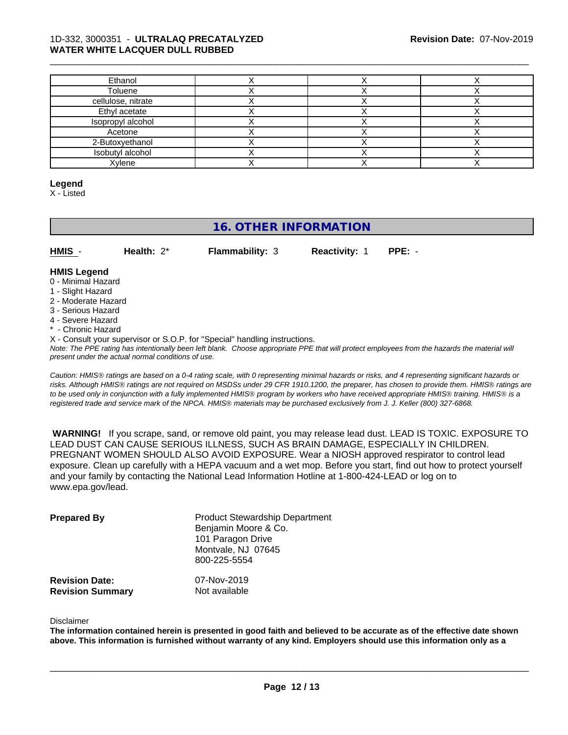| Ethanol            |  |  |
|--------------------|--|--|
| Toluene            |  |  |
| cellulose, nitrate |  |  |
| Ethyl acetate      |  |  |
| Isopropyl alcohol  |  |  |
| Acetone            |  |  |
| 2-Butoxyethanol    |  |  |
| Isobutyl alcohol   |  |  |
| Xylene             |  |  |

#### **Legend**

X - Listed

### **16. OTHER INFORMATION**

| HMIS | Health: $2^*$ | <b>Flammability: 3</b> | <b>Reactivity: 1</b> | $PPE: -$ |
|------|---------------|------------------------|----------------------|----------|
|      |               |                        |                      |          |

#### **HMIS Legend**

- 0 Minimal Hazard
- 1 Slight Hazard
- 2 Moderate Hazard
- 3 Serious Hazard
- 4 Severe Hazard
- \* Chronic Hazard
- X Consult your supervisor or S.O.P. for "Special" handling instructions.

*Note: The PPE rating has intentionally been left blank. Choose appropriate PPE that will protect employees from the hazards the material will present under the actual normal conditions of use.*

*Caution: HMISÒ ratings are based on a 0-4 rating scale, with 0 representing minimal hazards or risks, and 4 representing significant hazards or risks. Although HMISÒ ratings are not required on MSDSs under 29 CFR 1910.1200, the preparer, has chosen to provide them. HMISÒ ratings are to be used only in conjunction with a fully implemented HMISÒ program by workers who have received appropriate HMISÒ training. HMISÒ is a registered trade and service mark of the NPCA. HMISÒ materials may be purchased exclusively from J. J. Keller (800) 327-6868.*

 **WARNING!** If you scrape, sand, or remove old paint, you may release lead dust. LEAD IS TOXIC. EXPOSURE TO LEAD DUST CAN CAUSE SERIOUS ILLNESS, SUCH AS BRAIN DAMAGE, ESPECIALLY IN CHILDREN. PREGNANT WOMEN SHOULD ALSO AVOID EXPOSURE. Wear a NIOSH approved respirator to control lead exposure. Clean up carefully with a HEPA vacuum and a wet mop. Before you start, find out how to protect yourself and your family by contacting the National Lead Information Hotline at 1-800-424-LEAD or log on to www.epa.gov/lead.

| <b>Prepared By</b>                               | <b>Product Stewardship Department</b><br>Benjamin Moore & Co.<br>101 Paragon Drive<br>Montvale, NJ 07645<br>800-225-5554 |  |
|--------------------------------------------------|--------------------------------------------------------------------------------------------------------------------------|--|
| <b>Revision Date:</b><br><b>Revision Summary</b> | 07-Nov-2019<br>Not available                                                                                             |  |

#### Disclaimer

The information contained herein is presented in good faith and believed to be accurate as of the effective date shown above. This information is furnished without warranty of any kind. Employers should use this information only as a